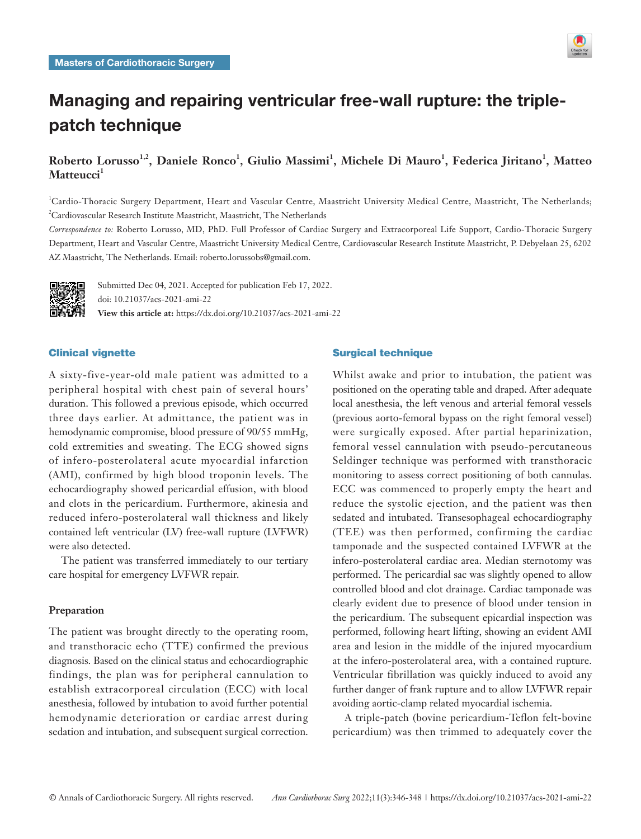

# Managing and repairing ventricular free-wall rupture: the triplepatch technique

## $R$ oberto Lorusso<sup>1,2</sup>, Daniele Ronco<sup>1</sup>, Giulio Massimi<sup>1</sup>, Michele Di Mauro<sup>1</sup>, Federica Jiritano<sup>1</sup>, Matteo Matteucci<sup>1</sup>

1 Cardio-Thoracic Surgery Department, Heart and Vascular Centre, Maastricht University Medical Centre, Maastricht, The Netherlands; 2 Cardiovascular Research Institute Maastricht, Maastricht, The Netherlands

*Correspondence to:* Roberto Lorusso, MD, PhD. Full Professor of Cardiac Surgery and Extracorporeal Life Support, Cardio-Thoracic Surgery Department, Heart and Vascular Centre, Maastricht University Medical Centre, Cardiovascular Research Institute Maastricht, P. Debyelaan 25, 6202 AZ Maastricht, The Netherlands. Email: roberto.lorussobs@gmail.com.



Submitted Dec 04, 2021. Accepted for publication Feb 17, 2022. doi: 10.21037/acs-2021-ami-22 **View this article at:** https://dx.doi.org/10.21037/acs-2021-ami-22

## Clinical vignette

A sixty-five-year-old male patient was admitted to a peripheral hospital with chest pain of several hours' duration. This followed a previous episode, which occurred three days earlier. At admittance, the patient was in hemodynamic compromise, blood pressure of 90/55 mmHg, cold extremities and sweating. The ECG showed signs of infero-posterolateral acute myocardial infarction (AMI), confirmed by high blood troponin levels. The echocardiography showed pericardial effusion, with blood and clots in the pericardium. Furthermore, akinesia and reduced infero-posterolateral wall thickness and likely contained left ventricular (LV) free-wall rupture (LVFWR) were also detected.

The patient was transferred immediately to our tertiary care hospital for emergency LVFWR repair.

#### **Preparation**

The patient was brought directly to the operating room, and transthoracic echo (TTE) confirmed the previous diagnosis. Based on the clinical status and echocardiographic findings, the plan was for peripheral cannulation to establish extracorporeal circulation (ECC) with local anesthesia, followed by intubation to avoid further potential hemodynamic deterioration or cardiac arrest during sedation and intubation, and subsequent surgical correction.

## Surgical technique

Whilst awake and prior to intubation, the patient was positioned on the operating table and draped. After adequate local anesthesia, the left venous and arterial femoral vessels (previous aorto-femoral bypass on the right femoral vessel) were surgically exposed. After partial heparinization, femoral vessel cannulation with pseudo-percutaneous Seldinger technique was performed with transthoracic monitoring to assess correct positioning of both cannulas. ECC was commenced to properly empty the heart and reduce the systolic ejection, and the patient was then sedated and intubated. Transesophageal echocardiography (TEE) was then performed, confirming the cardiac tamponade and the suspected contained LVFWR at the infero-posterolateral cardiac area. Median sternotomy was performed. The pericardial sac was slightly opened to allow controlled blood and clot drainage. Cardiac tamponade was clearly evident due to presence of blood under tension in the pericardium. The subsequent epicardial inspection was performed, following heart lifting, showing an evident AMI area and lesion in the middle of the injured myocardium at the infero-posterolateral area, with a contained rupture. Ventricular fibrillation was quickly induced to avoid any further danger of frank rupture and to allow LVFWR repair avoiding aortic-clamp related myocardial ischemia.

A triple-patch (bovine pericardium-Teflon felt-bovine pericardium) was then trimmed to adequately cover the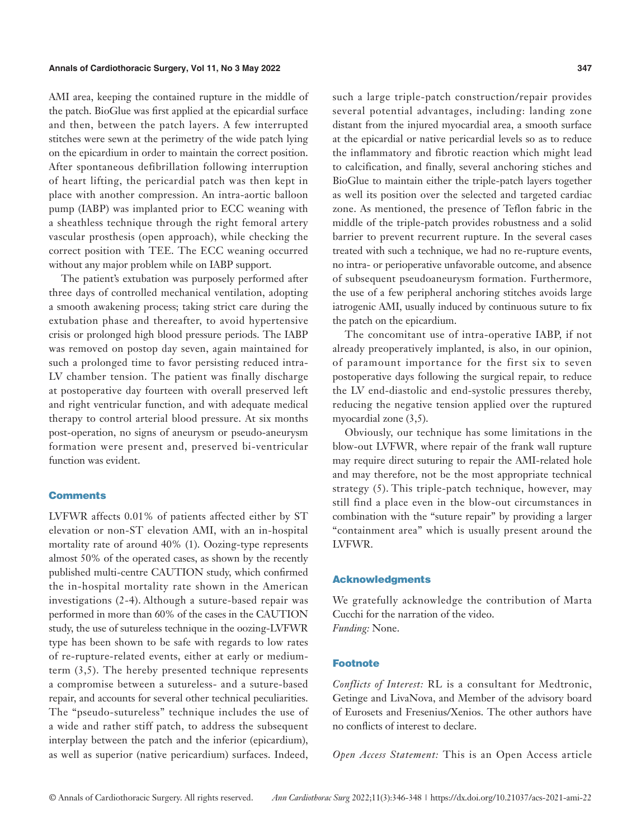AMI area, keeping the contained rupture in the middle of the patch. BioGlue was first applied at the epicardial surface and then, between the patch layers. A few interrupted stitches were sewn at the perimetry of the wide patch lying on the epicardium in order to maintain the correct position. After spontaneous defibrillation following interruption of heart lifting, the pericardial patch was then kept in place with another compression. An intra-aortic balloon pump (IABP) was implanted prior to ECC weaning with a sheathless technique through the right femoral artery vascular prosthesis (open approach), while checking the correct position with TEE. The ECC weaning occurred without any major problem while on IABP support.

The patient's extubation was purposely performed after three days of controlled mechanical ventilation, adopting a smooth awakening process; taking strict care during the extubation phase and thereafter, to avoid hypertensive crisis or prolonged high blood pressure periods. The IABP was removed on postop day seven, again maintained for such a prolonged time to favor persisting reduced intra-LV chamber tension. The patient was finally discharge at postoperative day fourteen with overall preserved left and right ventricular function, and with adequate medical therapy to control arterial blood pressure. At six months post-operation, no signs of aneurysm or pseudo-aneurysm formation were present and, preserved bi-ventricular function was evident.

#### **Comments**

LVFWR affects 0.01% of patients affected either by ST elevation or non-ST elevation AMI, with an in-hospital mortality rate of around 40% (1). Oozing-type represents almost 50% of the operated cases, as shown by the recently published multi-centre CAUTION study, which confirmed the in-hospital mortality rate shown in the American investigations (2-4). Although a suture-based repair was performed in more than 60% of the cases in the CAUTION study, the use of sutureless technique in the oozing-LVFWR type has been shown to be safe with regards to low rates of re-rupture-related events, either at early or mediumterm (3,5). The hereby presented technique represents a compromise between a sutureless- and a suture-based repair, and accounts for several other technical peculiarities. The "pseudo-sutureless" technique includes the use of a wide and rather stiff patch, to address the subsequent interplay between the patch and the inferior (epicardium), as well as superior (native pericardium) surfaces. Indeed,

such a large triple-patch construction/repair provides several potential advantages, including: landing zone distant from the injured myocardial area, a smooth surface at the epicardial or native pericardial levels so as to reduce the inflammatory and fibrotic reaction which might lead to calcification, and finally, several anchoring stiches and BioGlue to maintain either the triple-patch layers together as well its position over the selected and targeted cardiac zone. As mentioned, the presence of Teflon fabric in the middle of the triple-patch provides robustness and a solid barrier to prevent recurrent rupture. In the several cases treated with such a technique, we had no re-rupture events, no intra- or perioperative unfavorable outcome, and absence of subsequent pseudoaneurysm formation. Furthermore, the use of a few peripheral anchoring stitches avoids large iatrogenic AMI, usually induced by continuous suture to fix the patch on the epicardium.

The concomitant use of intra-operative IABP, if not already preoperatively implanted, is also, in our opinion, of paramount importance for the first six to seven postoperative days following the surgical repair, to reduce the LV end-diastolic and end-systolic pressures thereby, reducing the negative tension applied over the ruptured myocardial zone (3,5).

Obviously, our technique has some limitations in the blow-out LVFWR, where repair of the frank wall rupture may require direct suturing to repair the AMI-related hole and may therefore, not be the most appropriate technical strategy (5). This triple-patch technique, however, may still find a place even in the blow-out circumstances in combination with the "suture repair" by providing a larger "containment area" which is usually present around the LVFWR.

#### Acknowledgments

We gratefully acknowledge the contribution of Marta Cucchi for the narration of the video. *Funding:* None.

#### Footnote

*Conflicts of Interest:* RL is a consultant for Medtronic, Getinge and LivaNova, and Member of the advisory board of Eurosets and Fresenius/Xenios. The other authors have no conflicts of interest to declare.

*Open Access Statement:* This is an Open Access article